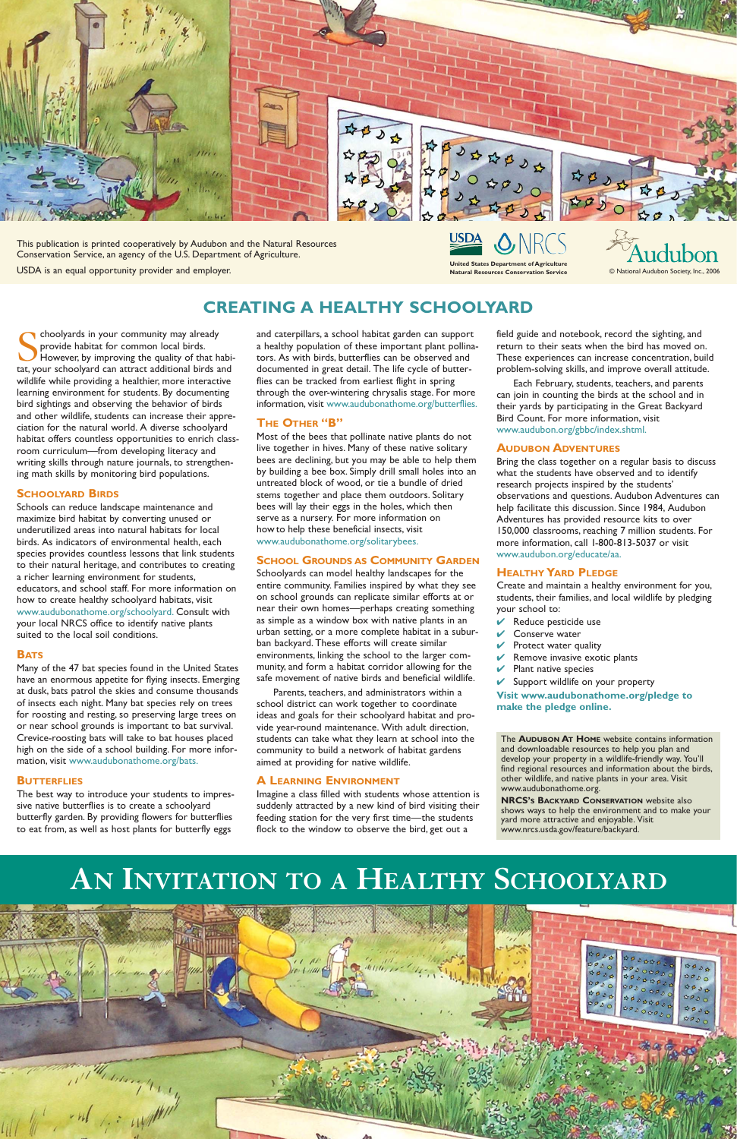Schoolyards in your community may already<br>provide habitat for common local birds.<br>However, by improving the quality of that hat tat your schoolyard can attract additional birds provide habitat for common local birds. However, by improving the quality of that habitat, your schoolyard can attract additional birds and wildlife while providing a healthier, more interactive learning environment for students. By documenting bird sightings and observing the behavior of birds and other wildlife, students can increase their appreciation for the natural world. A diverse schoolyard habitat offers countless opportunities to enrich classroom curriculum—from developing literacy and writing skills through nature journals, to strengthening math skills by monitoring bird populations.

#### **SCHOOLYARD BIRDS**

Schools can reduce landscape maintenance and maximize bird habitat by converting unused or underutilized areas into natural habitats for local birds. As indicators of environmental health, each species provides countless lessons that link students to their natural heritage, and contributes to creating a richer learning environment for students, educators, and school staff. For more information on how to create healthy schoolyard habitats, visit www.audubonathome.org/schoolyard. Consult with your local NRCS office to identify native plants suited to the local soil conditions.

#### **BATS**

Many of the 47 bat species found in the United States have an enormous appetite for flying insects. Emerging at dusk, bats patrol the skies and consume thousands of insects each night. Many bat species rely on trees for roosting and resting, so preserving large trees on or near school grounds is important to bat survival. Crevice-roosting bats will take to bat houses placed high on the side of a school building. For more information, visit www.audubonathome.org/bats.

#### **BUTTERFLIES**

The best way to introduce your students to impressive native butterflies is to create a schoolyard butterfly garden. By providing flowers for butterflies to eat from, as well as host plants for butterfly eggs

and caterpillars, a school habitat garden can support a healthy population of these important plant pollinators. As with birds, butterflies can be observed and documented in great detail. The life cycle of butterflies can be tracked from earliest flight in spring through the over-wintering chrysalis stage. For more information, visit www.audubonathome.org/butterflies.

### **THE OTHER "B"**

Most of the bees that pollinate native plants do not live together in hives. Many of these native solitary bees are declining, but you may be able to help them by building a bee box. Simply drill small holes into an untreated block of wood, or tie a bundle of dried stems together and place them outdoors. Solitary bees will lay their eggs in the holes, which then serve as a nursery. For more information on how to help these beneficial insects, visit www.audubonathome.org/solitarybees.

> and downloadable resources to help you plain and<br>develop your property in a wildlife-friendly way. You'll find regional resources and information about the birds, other wildlife, and native plants in your area. Visit www.audubonathome.org. www.audubonathome.org. The **AUDUBON AT HOME** website contains information and downloadable resources to help you plan and

### **SCHOOL GROUNDS AS COMMUNITY GARDEN**

**NRCS's BACKYARD CONSERVATION** website also shows ways to help the environment and to make your yard more attractive and enjoyable.<br>www.nrcs.usda.gov/feature/backyard. yard more attractive and enjoyable. Visit

Schoolyards can model healthy landscapes for the entire community. Families inspired by what they see on school grounds can replicate similar efforts at or near their own homes—perhaps creating something as simple as a window box with native plants in an urban setting, or a more complete habitat in a suburban backyard. These efforts will create similar environments, linking the school to the larger community, and form a habitat corridor allowing for the safe movement of native birds and beneficial wildlife.

USDA **Natural Resources Conservation Service**

Parents, teachers, and administrators within a school district can work together to coordinate ideas and goals for their schoolyard habitat and provide year-round maintenance. With adult direction, students can take what they learn at school into the community to build a network of habitat gardens aimed at providing for native wildlife.

## **A LEARNING ENVIRONMENT**

Imagine a class filled with students whose attention is suddenly attracted by a new kind of bird visiting their feeding station for the very first time—the students flock to the window to observe the bird, get out a

field guide and notebook, record the sighting, and return to their seats when the bird has moved on. These experiences can increase concentration, build problem-solving skills, and improve overall attitude.

Each February, students, teachers, and parents can join in counting the birds at the school and in their yards by participating in the Great Backyard Bird Count. For more information, visit www.audubon.org/gbbc/index.shtml.

### **AUDUBON ADVENTURES**

Bring the class together on a regular basis to discuss what the students have observed and to identify research projects inspired by the students' observations and questions. Audubon Adventures can help facilitate this discussion. Since 1984, Audubon Adventures has provided resource kits to over 150,000 classrooms, reaching 7 million students. For more information, call 1-800-813-5037 or visit www.audubon.org/educate/aa.

## **HEALTHY YARD PLEDGE**

Create and maintain a healthy environment for you, students, their families, and local wildlife by pledging your school to:

- $\vee$  Reduce pesticide use
- $\vee$  Conserve water
- $\vee$  Protect water quality
- Remove invasive exotic plants
- Plant native species

 $\vee$  Support wildlife on your property

**Visit www.audubonathome.org/pledge to make the pledge online.**

# **CREATING A HEALTHY SCHOOLYARD**

© National Audubon Society, Inc., 2006



This publication is printed cooperatively by Audubon and the Natural Resources Conservation Service, an agency of the U.S. Department of Agriculture.

USDA is an equal opportunity provider and employer. **United States Department of Agriculture**

# **AN INVITATION TO A HEALTHY SCHOOLYARD**